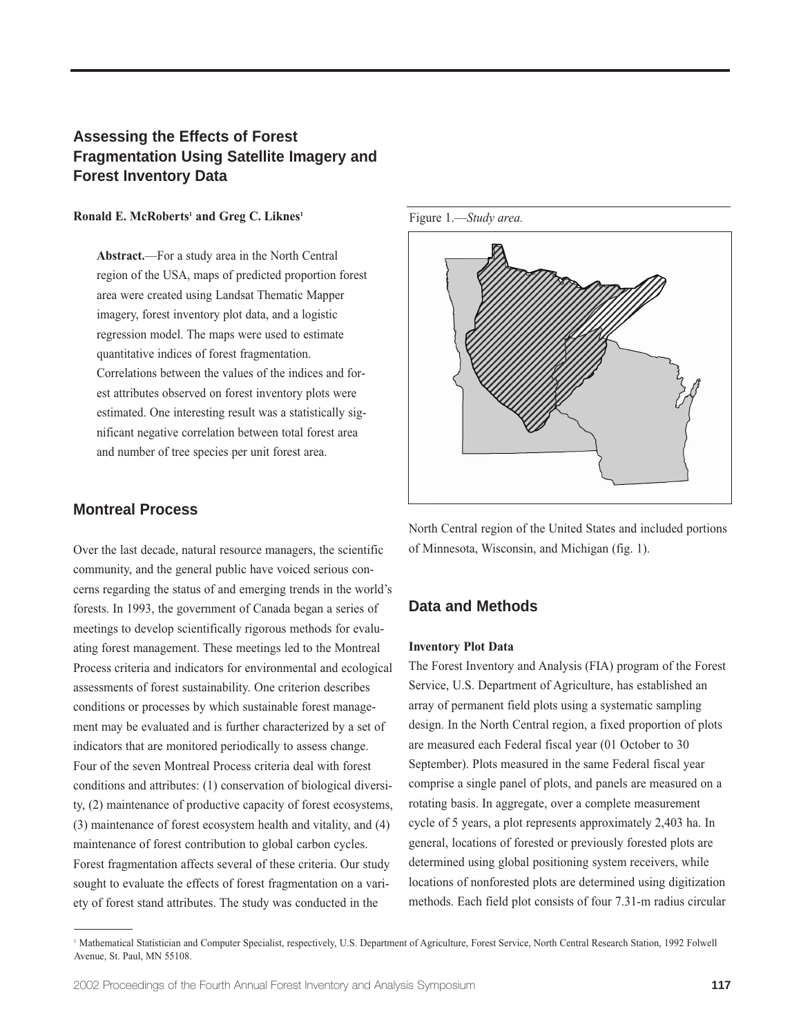# **Assessing the Effects of Forest Fragmentation Using Satellite Imagery and Forest Inventory Data**

#### Ronald E. McRoberts<sup>1</sup> and Greg C. Liknes<sup>1</sup>

**Abstract.**—For a study area in the North Central region of the USA, maps of predicted proportion forest area were created using Landsat Thematic Mapper imagery, forest inventory plot data, and a logistic regression model. The maps were used to estimate quantitative indices of forest fragmentation. Correlations between the values of the indices and forest attributes observed on forest inventory plots were estimated. One interesting result was a statistically significant negative correlation between total forest area and number of tree species per unit forest area.

### **Montreal Process**

Over the last decade, natural resource managers, the scientific community, and the general public have voiced serious concerns regarding the status of and emerging trends in the world's forests. In 1993, the government of Canada began a series of meetings to develop scientifically rigorous methods for evaluating forest management. These meetings led to the Montreal Process criteria and indicators for environmental and ecological assessments of forest sustainability. One criterion describes conditions or processes by which sustainable forest management may be evaluated and is further characterized by a set of indicators that are monitored periodically to assess change. Four of the seven Montreal Process criteria deal with forest conditions and attributes: (1) conservation of biological diversity, (2) maintenance of productive capacity of forest ecosystems, (3) maintenance of forest ecosystem health and vitality, and (4) maintenance of forest contribution to global carbon cycles. Forest fragmentation affects several of these criteria. Our study sought to evaluate the effects of forest fragmentation on a variety of forest stand attributes. The study was conducted in the



North Central region of the United States and included portions of Minnesota, Wisconsin, and Michigan (fig. 1).

### **Data and Methods**

#### **Inventory Plot Data**

The Forest Inventory and Analysis (FIA) program of the Forest Service, U.S. Department of Agriculture, has established an array of permanent field plots using a systematic sampling design. In the North Central region, a fixed proportion of plots are measured each Federal fiscal year (01 October to 30 September). Plots measured in the same Federal fiscal year comprise a single panel of plots, and panels are measured on a rotating basis. In aggregate, over a complete measurement cycle of 5 years, a plot represents approximately 2,403 ha. In general, locations of forested or previously forested plots are determined using global positioning system receivers, while locations of nonforested plots are determined using digitization methods. Each field plot consists of four 7.31-m radius circular

<sup>1</sup> Mathematical Statistician and Computer Specialist, respectively, U.S. Department of Agriculture, Forest Service, North Central Research Station, 1992 Folwell Avenue, St. Paul, MN 55108.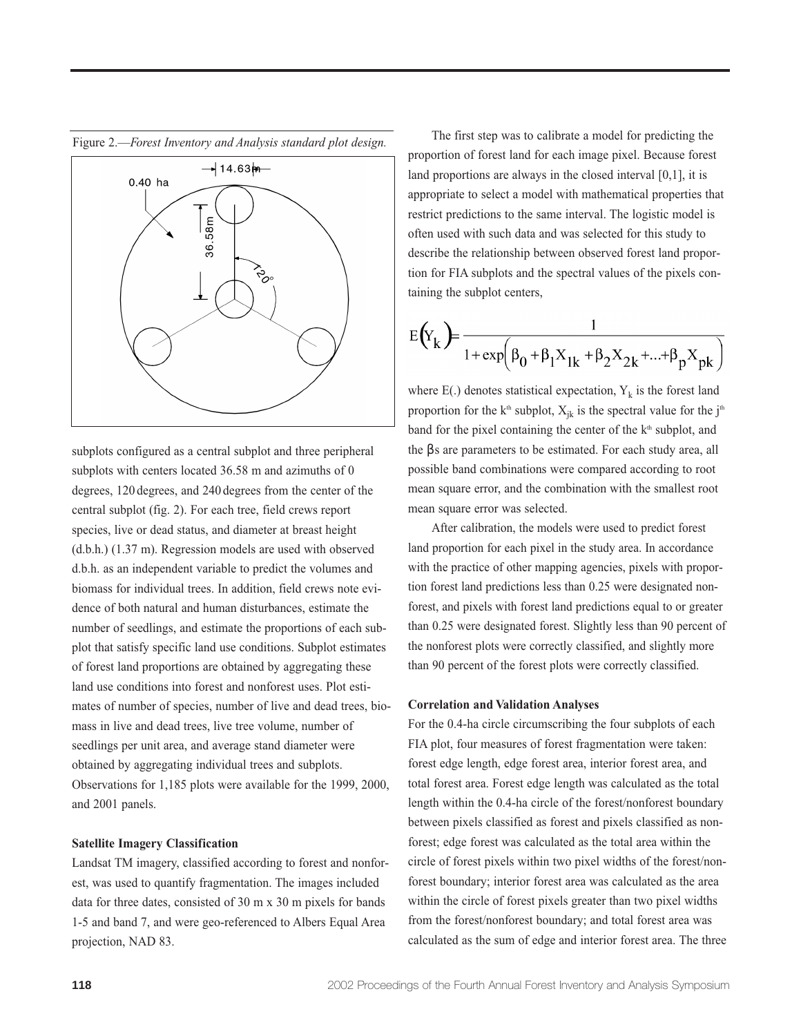

subplots configured as a central subplot and three peripheral subplots with centers located 36.58 m and azimuths of 0 degrees, 120 degrees, and 240 degrees from the center of the central subplot (fig. 2). For each tree, field crews report species, live or dead status, and diameter at breast height (d.b.h.) (1.37 m). Regression models are used with observed d.b.h. as an independent variable to predict the volumes and biomass for individual trees. In addition, field crews note evidence of both natural and human disturbances, estimate the number of seedlings, and estimate the proportions of each subplot that satisfy specific land use conditions. Subplot estimates of forest land proportions are obtained by aggregating these land use conditions into forest and nonforest uses. Plot estimates of number of species, number of live and dead trees, biomass in live and dead trees, live tree volume, number of seedlings per unit area, and average stand diameter were obtained by aggregating individual trees and subplots. Observations for 1,185 plots were available for the 1999, 2000, and 2001 panels.

#### **Satellite Imagery Classification**

Landsat TM imagery, classified according to forest and nonforest, was used to quantify fragmentation. The images included data for three dates, consisted of 30 m x 30 m pixels for bands 1-5 and band 7, and were geo-referenced to Albers Equal Area projection, NAD 83.

The first step was to calibrate a model for predicting the proportion of forest land for each image pixel. Because forest land proportions are always in the closed interval [0,1], it is appropriate to select a model with mathematical properties that restrict predictions to the same interval. The logistic model is often used with such data and was selected for this study to describe the relationship between observed forest land proportion for FIA subplots and the spectral values of the pixels containing the subplot centers,

$$
E(Y_k) = \frac{1}{1 + \exp(\beta_0 + \beta_1 X_{1k} + \beta_2 X_{2k} + ... + \beta_p X_{pk})}
$$

where  $E(.)$  denotes statistical expectation,  $Y_k$  is the forest land proportion for the k<sup>th</sup> subplot,  $X_{ik}$  is the spectral value for the j<sup>th</sup> band for the pixel containing the center of the k<sup>th</sup> subplot, and the βs are parameters to be estimated. For each study area, all possible band combinations were compared according to root mean square error, and the combination with the smallest root mean square error was selected.

After calibration, the models were used to predict forest land proportion for each pixel in the study area. In accordance with the practice of other mapping agencies, pixels with proportion forest land predictions less than 0.25 were designated nonforest, and pixels with forest land predictions equal to or greater than 0.25 were designated forest. Slightly less than 90 percent of the nonforest plots were correctly classified, and slightly more than 90 percent of the forest plots were correctly classified.

#### **Correlation and Validation Analyses**

For the 0.4-ha circle circumscribing the four subplots of each FIA plot, four measures of forest fragmentation were taken: forest edge length, edge forest area, interior forest area, and total forest area. Forest edge length was calculated as the total length within the 0.4-ha circle of the forest/nonforest boundary between pixels classified as forest and pixels classified as nonforest; edge forest was calculated as the total area within the circle of forest pixels within two pixel widths of the forest/nonforest boundary; interior forest area was calculated as the area within the circle of forest pixels greater than two pixel widths from the forest/nonforest boundary; and total forest area was calculated as the sum of edge and interior forest area. The three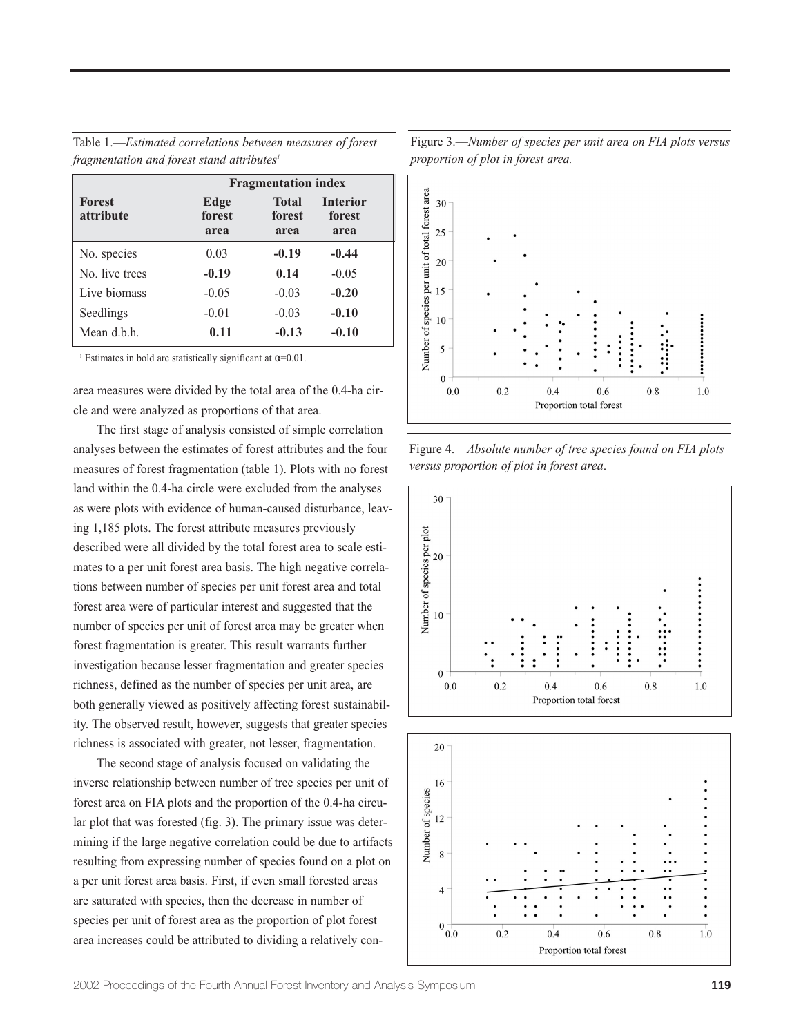Table 1.—*Estimated correlations between measures of forest fragmentation and forest stand attributes1*

| <b>Forest</b><br><i>attribute</i> | <b>Fragmentation index</b> |                                |                                   |
|-----------------------------------|----------------------------|--------------------------------|-----------------------------------|
|                                   | Edge<br>forest<br>area     | <b>Total</b><br>forest<br>area | <b>Interior</b><br>forest<br>area |
| No. species                       | 0.03                       | $-0.19$                        | $-0.44$                           |
| No. live trees                    | $-0.19$                    | 0.14                           | $-0.05$                           |
| Live biomass                      | $-0.05$                    | $-0.03$                        | $-0.20$                           |
| Seedlings                         | $-0.01$                    | $-0.03$                        | $-0.10$                           |
| Mean d.b.h.                       | 0.11                       | $-0.13$                        | $-0.10$                           |

<sup>1</sup> Estimates in bold are statistically significant at  $\alpha$ =0.01.

area measures were divided by the total area of the 0.4-ha circle and were analyzed as proportions of that area.

The first stage of analysis consisted of simple correlation analyses between the estimates of forest attributes and the four measures of forest fragmentation (table 1). Plots with no forest land within the 0.4-ha circle were excluded from the analyses as were plots with evidence of human-caused disturbance, leaving 1,185 plots. The forest attribute measures previously described were all divided by the total forest area to scale estimates to a per unit forest area basis. The high negative correlations between number of species per unit forest area and total forest area were of particular interest and suggested that the number of species per unit of forest area may be greater when forest fragmentation is greater. This result warrants further investigation because lesser fragmentation and greater species richness, defined as the number of species per unit area, are both generally viewed as positively affecting forest sustainability. The observed result, however, suggests that greater species richness is associated with greater, not lesser, fragmentation.

The second stage of analysis focused on validating the inverse relationship between number of tree species per unit of forest area on FIA plots and the proportion of the 0.4-ha circular plot that was forested (fig. 3). The primary issue was determining if the large negative correlation could be due to artifacts resulting from expressing number of species found on a plot on a per unit forest area basis. First, if even small forested areas are saturated with species, then the decrease in number of species per unit of forest area as the proportion of plot forest area increases could be attributed to dividing a relatively conNumber of species per unit of total forest area 30 25 20 15 10 5  $\Omega$  $0.0$  $0.2$  $0.4$ 0.6  $0.8$ 1.0 Proportion total forest

Figure 4.—*Absolute number of tree species found on FIA plots versus proportion of plot in forest area*.





Figure 3.—*Number of species per unit area on FIA plots versus proportion of plot in forest area.*